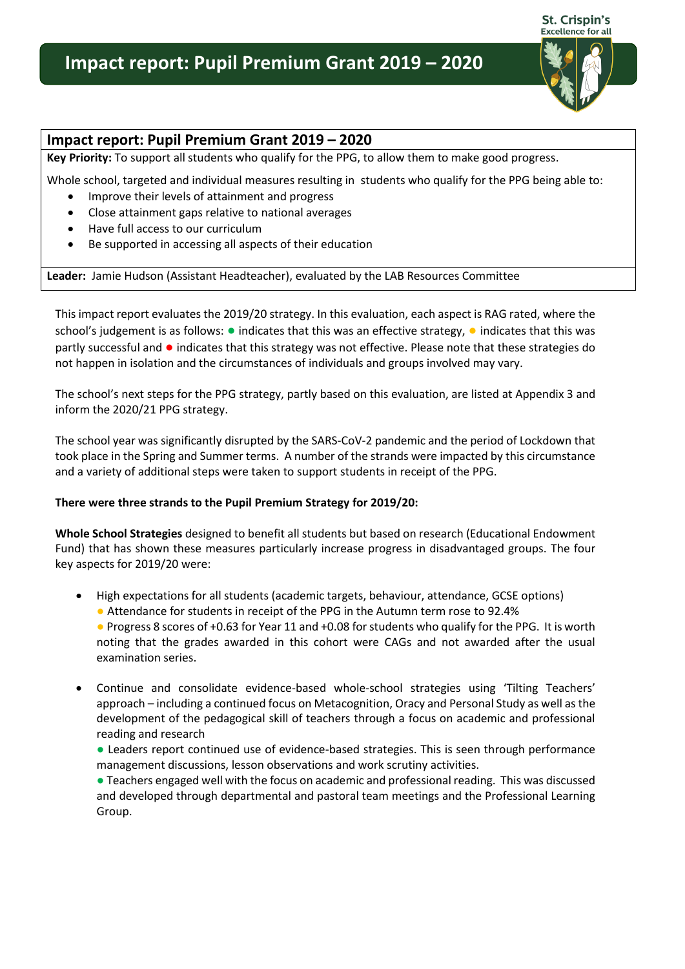# **Impact report: Pupil Premium Grant 2019 – 2020**



## **Impact report: Pupil Premium Grant 2019 – 2020**

**Key Priority:** To support all students who qualify for the PPG, to allow them to make good progress.

Whole school, targeted and individual measures resulting in students who qualify for the PPG being able to:

- Improve their levels of attainment and progress
- Close attainment gaps relative to national averages
- Have full access to our curriculum
- Be supported in accessing all aspects of their education

**Leader:** Jamie Hudson (Assistant Headteacher), evaluated by the LAB Resources Committee

This impact report evaluates the 2019/20 strategy. In this evaluation, each aspect is RAG rated, where the school's judgement is as follows: ● indicates that this was an effective strategy, ● indicates that this was partly successful and ● indicates that this strategy was not effective. Please note that these strategies do not happen in isolation and the circumstances of individuals and groups involved may vary.

The school's next steps for the PPG strategy, partly based on this evaluation, are listed at Appendix 3 and inform the 2020/21 PPG strategy.

The school year was significantly disrupted by the SARS-CoV-2 pandemic and the period of Lockdown that took place in the Spring and Summer terms. A number of the strands were impacted by this circumstance and a variety of additional steps were taken to support students in receipt of the PPG.

#### **There were three strands to the Pupil Premium Strategy for 2019/20:**

**Whole School Strategies** designed to benefit all students but based on research (Educational Endowment Fund) that has shown these measures particularly increase progress in disadvantaged groups. The four key aspects for 2019/20 were:

- High expectations for all students (academic targets, behaviour, attendance, GCSE options)
	- Attendance for students in receipt of the PPG in the Autumn term rose to 92.4%
	- Progress 8 scores of +0.63 for Year 11 and +0.08 for students who qualify for the PPG. It is worth noting that the grades awarded in this cohort were CAGs and not awarded after the usual examination series.
- Continue and consolidate evidence-based whole-school strategies using 'Tilting Teachers' approach – including a continued focus on Metacognition, Oracy and Personal Study as well as the development of the pedagogical skill of teachers through a focus on academic and professional reading and research
	- Leaders report continued use of evidence-based strategies. This is seen through performance management discussions, lesson observations and work scrutiny activities.

● Teachers engaged well with the focus on academic and professional reading. This was discussed and developed through departmental and pastoral team meetings and the Professional Learning Group.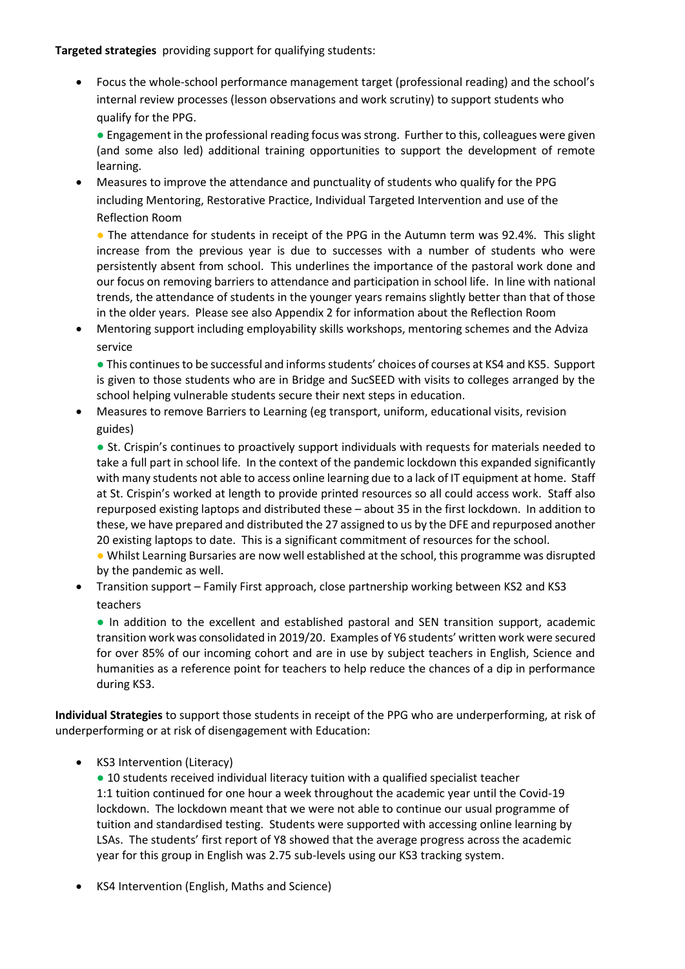#### **Targeted strategies** providing support for qualifying students:

 Focus the whole-school performance management target (professional reading) and the school's internal review processes (lesson observations and work scrutiny) to support students who qualify for the PPG.

● Engagement in the professional reading focus was strong. Further to this, colleagues were given (and some also led) additional training opportunities to support the development of remote learning.

 Measures to improve the attendance and punctuality of students who qualify for the PPG including Mentoring, Restorative Practice, Individual Targeted Intervention and use of the Reflection Room

• The attendance for students in receipt of the PPG in the Autumn term was 92.4%. This slight increase from the previous year is due to successes with a number of students who were persistently absent from school. This underlines the importance of the pastoral work done and our focus on removing barriers to attendance and participation in school life. In line with national trends, the attendance of students in the younger years remains slightly better than that of those in the older years. Please see also Appendix 2 for information about the Reflection Room

 Mentoring support including employability skills workshops, mentoring schemes and the Adviza service

● This continues to be successful and informs students' choices of courses at KS4 and KS5. Support is given to those students who are in Bridge and SucSEED with visits to colleges arranged by the school helping vulnerable students secure their next steps in education.

 Measures to remove Barriers to Learning (eg transport, uniform, educational visits, revision guides)

● St. Crispin's continues to proactively support individuals with requests for materials needed to take a full part in school life. In the context of the pandemic lockdown this expanded significantly with many students not able to access online learning due to a lack of IT equipment at home. Staff at St. Crispin's worked at length to provide printed resources so all could access work. Staff also repurposed existing laptops and distributed these – about 35 in the first lockdown. In addition to these, we have prepared and distributed the 27 assigned to us by the DFE and repurposed another 20 existing laptops to date. This is a significant commitment of resources for the school.

● Whilst Learning Bursaries are now well established at the school, this programme was disrupted by the pandemic as well.

 Transition support – Family First approach, close partnership working between KS2 and KS3 teachers

● In addition to the excellent and established pastoral and SEN transition support, academic transition work was consolidated in 2019/20. Examples of Y6 students' written work were secured for over 85% of our incoming cohort and are in use by subject teachers in English, Science and humanities as a reference point for teachers to help reduce the chances of a dip in performance during KS3.

**Individual Strategies** to support those students in receipt of the PPG who are underperforming, at risk of underperforming or at risk of disengagement with Education:

• KS3 Intervention (Literacy)

● 10 students received individual literacy tuition with a qualified specialist teacher 1:1 tuition continued for one hour a week throughout the academic year until the Covid-19 lockdown. The lockdown meant that we were not able to continue our usual programme of tuition and standardised testing. Students were supported with accessing online learning by LSAs. The students' first report of Y8 showed that the average progress across the academic year for this group in English was 2.75 sub-levels using our KS3 tracking system.

KS4 Intervention (English, Maths and Science)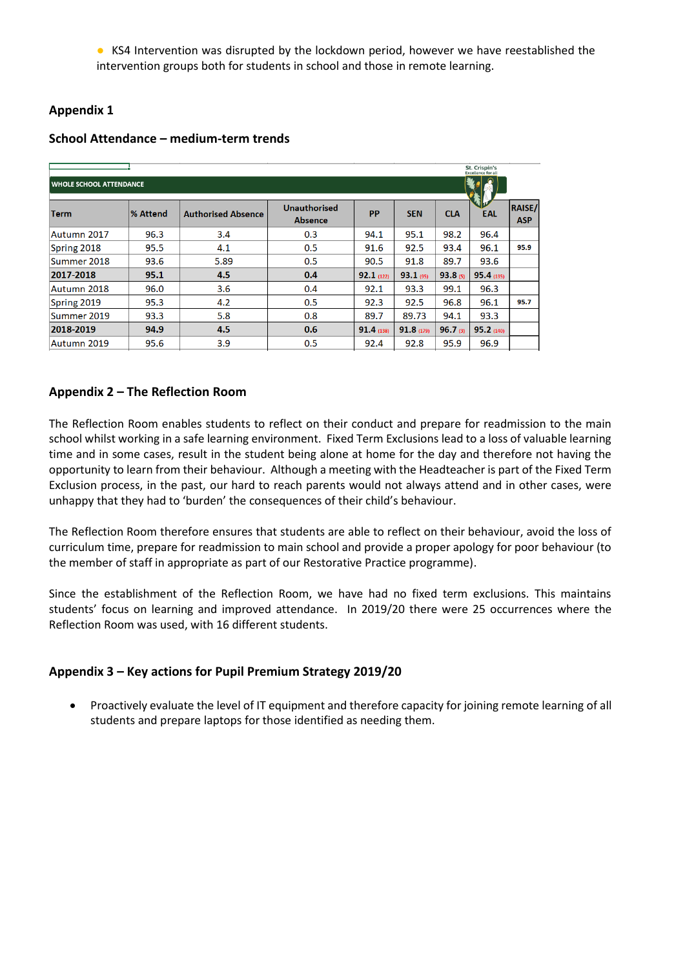● KS4 Intervention was disrupted by the lockdown period, however we have reestablished the intervention groups both for students in school and those in remote learning.

# **Appendix 1**

| St. Crispin's<br><b>Excellence for all</b> |           |                           |                                       |           |             |            |           |                             |  |  |  |
|--------------------------------------------|-----------|---------------------------|---------------------------------------|-----------|-------------|------------|-----------|-----------------------------|--|--|--|
| <b>WHOLE SCHOOL ATTENDANCE</b>             |           |                           |                                       |           |             |            |           |                             |  |  |  |
| Term                                       | l% Attend | <b>Authorised Absence</b> | <b>Unauthorised</b><br><b>Absence</b> | <b>PP</b> | <b>SEN</b>  | <b>CLA</b> | EAL       | <b>RAISE/</b><br><b>ASP</b> |  |  |  |
| Autumn 2017                                | 96.3      | 3.4                       | 0.3                                   | 94.1      | 95.1        | 98.2       | 96.4      |                             |  |  |  |
| Spring 2018                                | 95.5      | 4.1                       | 0.5                                   | 91.6      | 92.5        | 93.4       | 96.1      | 95.9                        |  |  |  |
| Summer 2018                                | 93.6      | 5.89                      | 0.5                                   | 90.5      | 91.8        | 89.7       | 93.6      |                             |  |  |  |
| 2017-2018                                  | 95.1      | 4.5                       | 0.4                                   | 92.1(122) | $93.1$ (95) | 93.8(5)    | 95.4(135) |                             |  |  |  |
| Autumn 2018                                | 96.0      | 3.6                       | 0.4                                   | 92.1      | 93.3        | 99.1       | 96.3      |                             |  |  |  |
| Spring 2019                                | 95.3      | 4.2                       | 0.5                                   | 92.3      | 92.5        | 96.8       | 96.1      | 95.7                        |  |  |  |
| Summer 2019                                | 93.3      | 5.8                       | 0.8                                   | 89.7      | 89.73       | 94.1       | 93.3      |                             |  |  |  |
| 2018-2019                                  | 94.9      | 4.5                       | 0.6                                   | 91.4(138) | 91.8(179)   | $96.7$ (3) | 95.2(140) |                             |  |  |  |
| Autumn 2019                                | 95.6      | 3.9                       | 0.5                                   | 92.4      | 92.8        | 95.9       | 96.9      |                             |  |  |  |

# **School Attendance – medium-term trends**

# **Appendix 2 – The Reflection Room**

The Reflection Room enables students to reflect on their conduct and prepare for readmission to the main school whilst working in a safe learning environment. Fixed Term Exclusions lead to a loss of valuable learning time and in some cases, result in the student being alone at home for the day and therefore not having the opportunity to learn from their behaviour. Although a meeting with the Headteacher is part of the Fixed Term Exclusion process, in the past, our hard to reach parents would not always attend and in other cases, were unhappy that they had to 'burden' the consequences of their child's behaviour.

The Reflection Room therefore ensures that students are able to reflect on their behaviour, avoid the loss of curriculum time, prepare for readmission to main school and provide a proper apology for poor behaviour (to the member of staff in appropriate as part of our Restorative Practice programme).

Since the establishment of the Reflection Room, we have had no fixed term exclusions. This maintains students' focus on learning and improved attendance. In 2019/20 there were 25 occurrences where the Reflection Room was used, with 16 different students.

## **Appendix 3 – Key actions for Pupil Premium Strategy 2019/20**

 Proactively evaluate the level of IT equipment and therefore capacity for joining remote learning of all students and prepare laptops for those identified as needing them.